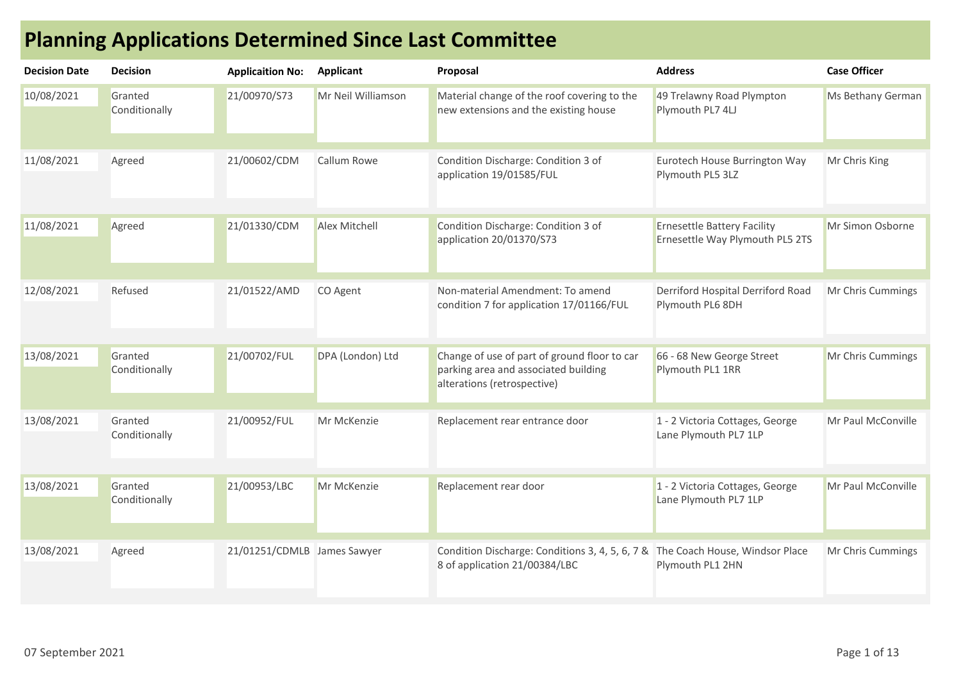|  |  | <b>Planning Applications Determined Since Last Committee</b> |
|--|--|--------------------------------------------------------------|
|--|--|--------------------------------------------------------------|

| <b>Decision Date</b> | <b>Decision</b>          | <b>Applicaition No:</b>     | <b>Applicant</b>     | Proposal                                                                                                            | <b>Address</b>                                                        | <b>Case Officer</b> |
|----------------------|--------------------------|-----------------------------|----------------------|---------------------------------------------------------------------------------------------------------------------|-----------------------------------------------------------------------|---------------------|
| 10/08/2021           | Granted<br>Conditionally | 21/00970/S73                | Mr Neil Williamson   | Material change of the roof covering to the<br>new extensions and the existing house                                | 49 Trelawny Road Plympton<br>Plymouth PL7 4LJ                         | Ms Bethany German   |
| 11/08/2021           | Agreed                   | 21/00602/CDM                | Callum Rowe          | Condition Discharge: Condition 3 of<br>application 19/01585/FUL                                                     | Eurotech House Burrington Way<br>Plymouth PL5 3LZ                     | Mr Chris King       |
| 11/08/2021           | Agreed                   | 21/01330/CDM                | <b>Alex Mitchell</b> | Condition Discharge: Condition 3 of<br>application 20/01370/S73                                                     | <b>Ernesettle Battery Facility</b><br>Ernesettle Way Plymouth PL5 2TS | Mr Simon Osborne    |
| 12/08/2021           | Refused                  | 21/01522/AMD                | CO Agent             | Non-material Amendment: To amend<br>condition 7 for application 17/01166/FUL                                        | Derriford Hospital Derriford Road<br>Plymouth PL6 8DH                 | Mr Chris Cummings   |
| 13/08/2021           | Granted<br>Conditionally | 21/00702/FUL                | DPA (London) Ltd     | Change of use of part of ground floor to car<br>parking area and associated building<br>alterations (retrospective) | 66 - 68 New George Street<br>Plymouth PL1 1RR                         | Mr Chris Cummings   |
| 13/08/2021           | Granted<br>Conditionally | 21/00952/FUL                | Mr McKenzie          | Replacement rear entrance door                                                                                      | 1 - 2 Victoria Cottages, George<br>Lane Plymouth PL7 1LP              | Mr Paul McConville  |
| 13/08/2021           | Granted<br>Conditionally | 21/00953/LBC                | Mr McKenzie          | Replacement rear door                                                                                               | 1 - 2 Victoria Cottages, George<br>Lane Plymouth PL7 1LP              | Mr Paul McConville  |
| 13/08/2021           | Agreed                   | 21/01251/CDMLB James Sawyer |                      | Condition Discharge: Conditions 3, 4, 5, 6, 7 & The Coach House, Windsor Place<br>8 of application 21/00384/LBC     | Plymouth PL1 2HN                                                      | Mr Chris Cummings   |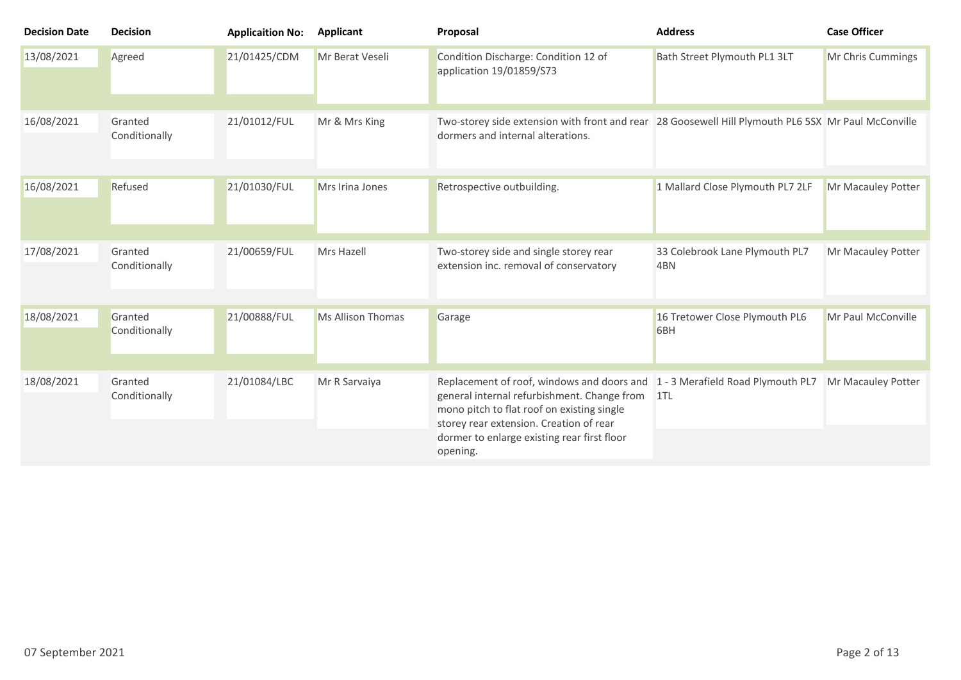| <b>Decision Date</b> | <b>Decision</b>          | <b>Applicaition No:</b> | <b>Applicant</b>         | Proposal                                                                                                                                                                                                                                                                            | <b>Address</b>                        | <b>Case Officer</b> |
|----------------------|--------------------------|-------------------------|--------------------------|-------------------------------------------------------------------------------------------------------------------------------------------------------------------------------------------------------------------------------------------------------------------------------------|---------------------------------------|---------------------|
| 13/08/2021           | Agreed                   | 21/01425/CDM            | Mr Berat Veseli          | Condition Discharge: Condition 12 of<br>application 19/01859/S73                                                                                                                                                                                                                    | Bath Street Plymouth PL1 3LT          | Mr Chris Cummings   |
| 16/08/2021           | Granted<br>Conditionally | 21/01012/FUL            | Mr & Mrs King            | Two-storey side extension with front and rear 28 Goosewell Hill Plymouth PL6 5SX Mr Paul McConville<br>dormers and internal alterations.                                                                                                                                            |                                       |                     |
| 16/08/2021           | Refused                  | 21/01030/FUL            | Mrs Irina Jones          | Retrospective outbuilding.                                                                                                                                                                                                                                                          | 1 Mallard Close Plymouth PL7 2LF      | Mr Macauley Potter  |
| 17/08/2021           | Granted<br>Conditionally | 21/00659/FUL            | Mrs Hazell               | Two-storey side and single storey rear<br>extension inc. removal of conservatory                                                                                                                                                                                                    | 33 Colebrook Lane Plymouth PL7<br>4BN | Mr Macauley Potter  |
| 18/08/2021           | Granted<br>Conditionally | 21/00888/FUL            | <b>Ms Allison Thomas</b> | Garage                                                                                                                                                                                                                                                                              | 16 Tretower Close Plymouth PL6<br>6BH | Mr Paul McConville  |
| 18/08/2021           | Granted<br>Conditionally | 21/01084/LBC            | Mr R Sarvaiya            | Replacement of roof, windows and doors and 1 - 3 Merafield Road Plymouth PL7<br>general internal refurbishment. Change from 1TL<br>mono pitch to flat roof on existing single<br>storey rear extension. Creation of rear<br>dormer to enlarge existing rear first floor<br>opening. |                                       | Mr Macauley Potter  |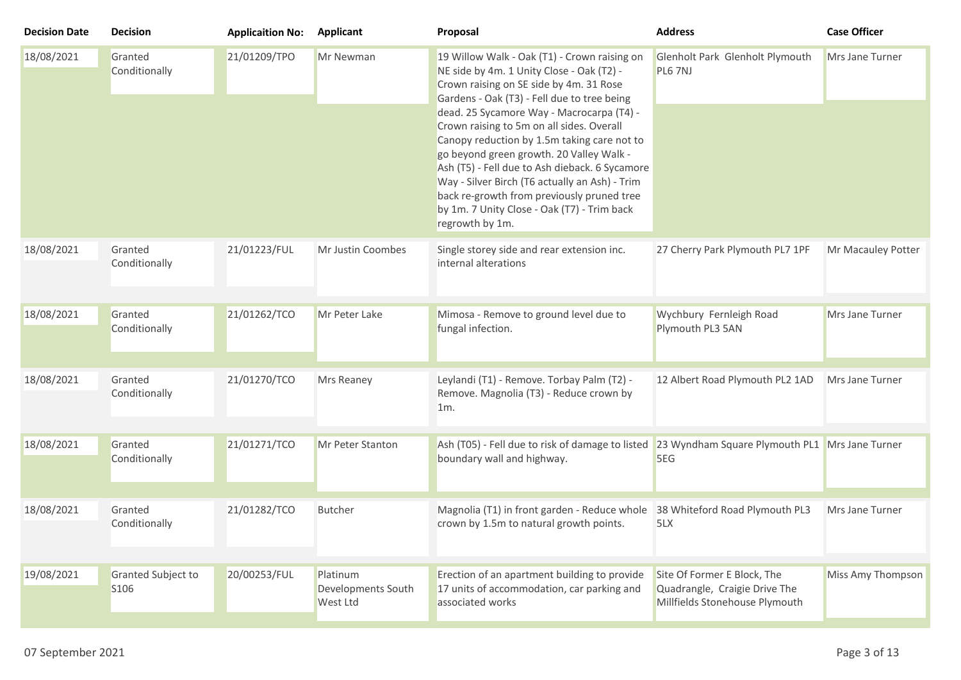| <b>Decision Date</b> | <b>Decision</b>                        | <b>Applicaition No:</b> | <b>Applicant</b>                           | Proposal                                                                                                                                                                                                                                                                                                                                                                                                                                                                                                                                                                                     | <b>Address</b>                                                                                 | <b>Case Officer</b> |
|----------------------|----------------------------------------|-------------------------|--------------------------------------------|----------------------------------------------------------------------------------------------------------------------------------------------------------------------------------------------------------------------------------------------------------------------------------------------------------------------------------------------------------------------------------------------------------------------------------------------------------------------------------------------------------------------------------------------------------------------------------------------|------------------------------------------------------------------------------------------------|---------------------|
| 18/08/2021           | Granted<br>Conditionally               | 21/01209/TPO            | Mr Newman                                  | 19 Willow Walk - Oak (T1) - Crown raising on<br>NE side by 4m. 1 Unity Close - Oak (T2) -<br>Crown raising on SE side by 4m. 31 Rose<br>Gardens - Oak (T3) - Fell due to tree being<br>dead. 25 Sycamore Way - Macrocarpa (T4) -<br>Crown raising to 5m on all sides. Overall<br>Canopy reduction by 1.5m taking care not to<br>go beyond green growth. 20 Valley Walk -<br>Ash (T5) - Fell due to Ash dieback. 6 Sycamore<br>Way - Silver Birch (T6 actually an Ash) - Trim<br>back re-growth from previously pruned tree<br>by 1m. 7 Unity Close - Oak (T7) - Trim back<br>regrowth by 1m. | Glenholt Park Glenholt Plymouth<br>PL6 7NJ                                                     | Mrs Jane Turner     |
| 18/08/2021           | Granted<br>Conditionally               | 21/01223/FUL            | Mr Justin Coombes                          | Single storey side and rear extension inc.<br>internal alterations                                                                                                                                                                                                                                                                                                                                                                                                                                                                                                                           | 27 Cherry Park Plymouth PL7 1PF                                                                | Mr Macauley Potter  |
| 18/08/2021           | Granted<br>Conditionally               | 21/01262/TCO            | Mr Peter Lake                              | Mimosa - Remove to ground level due to<br>fungal infection.                                                                                                                                                                                                                                                                                                                                                                                                                                                                                                                                  | Wychbury Fernleigh Road<br>Plymouth PL3 5AN                                                    | Mrs Jane Turner     |
| 18/08/2021           | Granted<br>Conditionally               | 21/01270/TCO            | Mrs Reaney                                 | Leylandi (T1) - Remove. Torbay Palm (T2) -<br>Remove. Magnolia (T3) - Reduce crown by<br>1m.                                                                                                                                                                                                                                                                                                                                                                                                                                                                                                 | 12 Albert Road Plymouth PL2 1AD                                                                | Mrs Jane Turner     |
| 18/08/2021           | Granted<br>Conditionally               | 21/01271/TCO            | Mr Peter Stanton                           | Ash (T05) - Fell due to risk of damage to listed<br>boundary wall and highway.                                                                                                                                                                                                                                                                                                                                                                                                                                                                                                               | 23 Wyndham Square Plymouth PL1 Mrs Jane Turner<br>5EG                                          |                     |
| 18/08/2021           | Granted<br>Conditionally               | 21/01282/TCO            | <b>Butcher</b>                             | Magnolia (T1) in front garden - Reduce whole<br>crown by 1.5m to natural growth points.                                                                                                                                                                                                                                                                                                                                                                                                                                                                                                      | 38 Whiteford Road Plymouth PL3<br>5LX                                                          | Mrs Jane Turner     |
| 19/08/2021           | Granted Subject to<br>S <sub>106</sub> | 20/00253/FUL            | Platinum<br>Developments South<br>West Ltd | Erection of an apartment building to provide<br>17 units of accommodation, car parking and<br>associated works                                                                                                                                                                                                                                                                                                                                                                                                                                                                               | Site Of Former E Block, The<br>Quadrangle, Craigie Drive The<br>Millfields Stonehouse Plymouth | Miss Amy Thompson   |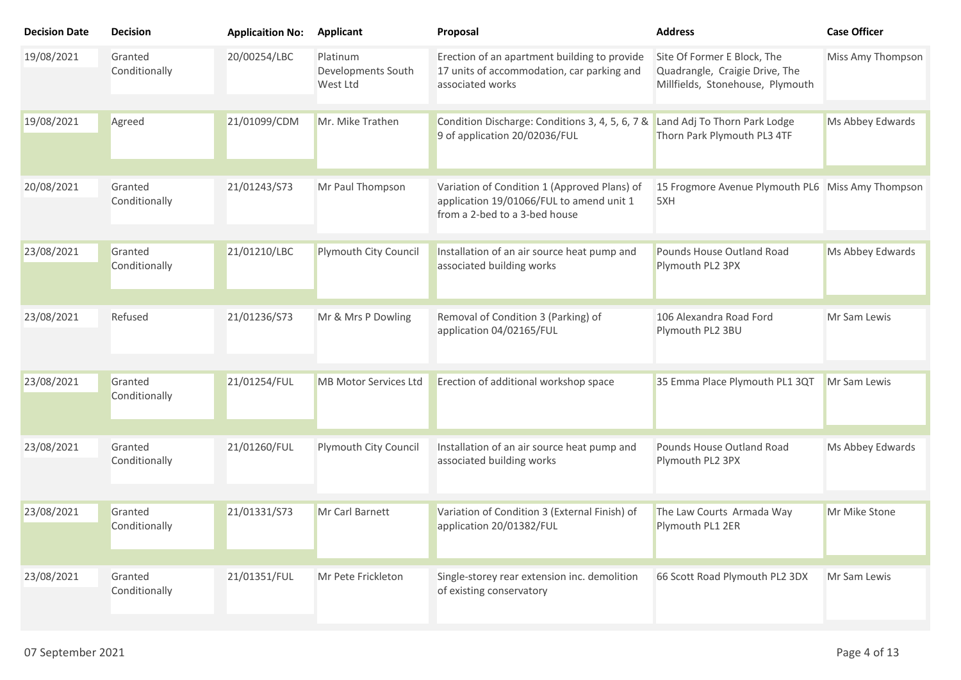| <b>Decision Date</b> | <b>Decision</b>          | <b>Applicaition No:</b> | <b>Applicant</b>                           | Proposal                                                                                                                  | <b>Address</b>                                                                                    | <b>Case Officer</b> |
|----------------------|--------------------------|-------------------------|--------------------------------------------|---------------------------------------------------------------------------------------------------------------------------|---------------------------------------------------------------------------------------------------|---------------------|
| 19/08/2021           | Granted<br>Conditionally | 20/00254/LBC            | Platinum<br>Developments South<br>West Ltd | Erection of an apartment building to provide<br>17 units of accommodation, car parking and<br>associated works            | Site Of Former E Block, The<br>Quadrangle, Craigie Drive, The<br>Millfields, Stonehouse, Plymouth | Miss Amy Thompson   |
| 19/08/2021           | Agreed                   | 21/01099/CDM            | Mr. Mike Trathen                           | Condition Discharge: Conditions 3, 4, 5, 6, 7 &<br>9 of application 20/02036/FUL                                          | Land Adj To Thorn Park Lodge<br>Thorn Park Plymouth PL3 4TF                                       | Ms Abbey Edwards    |
| 20/08/2021           | Granted<br>Conditionally | 21/01243/S73            | Mr Paul Thompson                           | Variation of Condition 1 (Approved Plans) of<br>application 19/01066/FUL to amend unit 1<br>from a 2-bed to a 3-bed house | 15 Frogmore Avenue Plymouth PL6 Miss Amy Thompson<br>5XH                                          |                     |
| 23/08/2021           | Granted<br>Conditionally | 21/01210/LBC            | Plymouth City Council                      | Installation of an air source heat pump and<br>associated building works                                                  | Pounds House Outland Road<br>Plymouth PL2 3PX                                                     | Ms Abbey Edwards    |
| 23/08/2021           | Refused                  | 21/01236/S73            | Mr & Mrs P Dowling                         | Removal of Condition 3 (Parking) of<br>application 04/02165/FUL                                                           | 106 Alexandra Road Ford<br>Plymouth PL2 3BU                                                       | Mr Sam Lewis        |
| 23/08/2021           | Granted<br>Conditionally | 21/01254/FUL            | <b>MB Motor Services Ltd</b>               | Erection of additional workshop space                                                                                     | 35 Emma Place Plymouth PL1 3QT                                                                    | Mr Sam Lewis        |
| 23/08/2021           | Granted<br>Conditionally | 21/01260/FUL            | Plymouth City Council                      | Installation of an air source heat pump and<br>associated building works                                                  | Pounds House Outland Road<br>Plymouth PL2 3PX                                                     | Ms Abbey Edwards    |
| 23/08/2021           | Granted<br>Conditionally | 21/01331/S73            | Mr Carl Barnett                            | Variation of Condition 3 (External Finish) of<br>application 20/01382/FUL                                                 | The Law Courts Armada Way<br>Plymouth PL1 2ER                                                     | Mr Mike Stone       |
| 23/08/2021           | Granted<br>Conditionally | 21/01351/FUL            | Mr Pete Frickleton                         | Single-storey rear extension inc. demolition<br>of existing conservatory                                                  | 66 Scott Road Plymouth PL2 3DX                                                                    | Mr Sam Lewis        |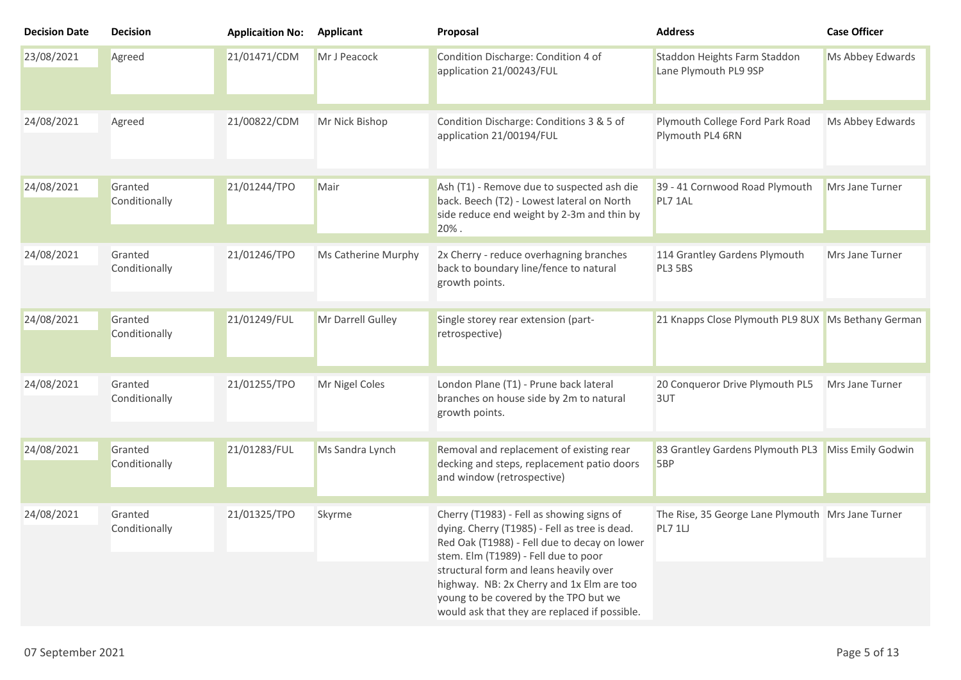| <b>Decision Date</b> | <b>Decision</b>          | <b>Applicaition No:</b> | <b>Applicant</b>    | Proposal                                                                                                                                                                           | <b>Address</b>                                               | <b>Case Officer</b> |
|----------------------|--------------------------|-------------------------|---------------------|------------------------------------------------------------------------------------------------------------------------------------------------------------------------------------|--------------------------------------------------------------|---------------------|
| 23/08/2021           | Agreed                   | 21/01471/CDM            | Mr J Peacock        | Condition Discharge: Condition 4 of<br>application 21/00243/FUL                                                                                                                    | Staddon Heights Farm Staddon<br>Lane Plymouth PL9 9SP        | Ms Abbey Edwards    |
| 24/08/2021           | Agreed                   | 21/00822/CDM            | Mr Nick Bishop      | Condition Discharge: Conditions 3 & 5 of<br>application 21/00194/FUL                                                                                                               | Plymouth College Ford Park Road<br>Plymouth PL4 6RN          | Ms Abbey Edwards    |
| 24/08/2021           | Granted<br>Conditionally | 21/01244/TPO            | Mair                | Ash (T1) - Remove due to suspected ash die<br>back. Beech (T2) - Lowest lateral on North<br>side reduce end weight by 2-3m and thin by<br>20%.                                     | 39 - 41 Cornwood Road Plymouth<br>PL7 1AL                    | Mrs Jane Turner     |
| 24/08/2021           | Granted<br>Conditionally | 21/01246/TPO            | Ms Catherine Murphy | 2x Cherry - reduce overhagning branches<br>back to boundary line/fence to natural<br>growth points.                                                                                | 114 Grantley Gardens Plymouth<br><b>PL3 5BS</b>              | Mrs Jane Turner     |
| 24/08/2021           | Granted<br>Conditionally | 21/01249/FUL            | Mr Darrell Gulley   | Single storey rear extension (part-<br>retrospective)                                                                                                                              | 21 Knapps Close Plymouth PL9 8UX Ms Bethany German           |                     |
| 24/08/2021           | Granted<br>Conditionally | 21/01255/TPO            | Mr Nigel Coles      | London Plane (T1) - Prune back lateral<br>branches on house side by 2m to natural<br>growth points.                                                                                | 20 Conqueror Drive Plymouth PL5<br>3UT                       | Mrs Jane Turner     |
| 24/08/2021           | Granted<br>Conditionally | 21/01283/FUL            | Ms Sandra Lynch     | Removal and replacement of existing rear<br>decking and steps, replacement patio doors<br>and window (retrospective)                                                               | 83 Grantley Gardens Plymouth PL3<br>5BP                      | Miss Emily Godwin   |
| 24/08/2021           | Granted<br>Conditionally | 21/01325/TPO            | Skyrme              | Cherry (T1983) - Fell as showing signs of<br>dying. Cherry (T1985) - Fell as tree is dead.<br>Red Oak (T1988) - Fell due to decay on lower<br>stem. Elm (T1989) - Fell due to poor | The Rise, 35 George Lane Plymouth Mrs Jane Turner<br>PL7 1LJ |                     |
|                      |                          |                         |                     | structural form and leans heavily over<br>highway. NB: 2x Cherry and 1x Elm are too<br>young to be covered by the TPO but we<br>would ask that they are replaced if possible.      |                                                              |                     |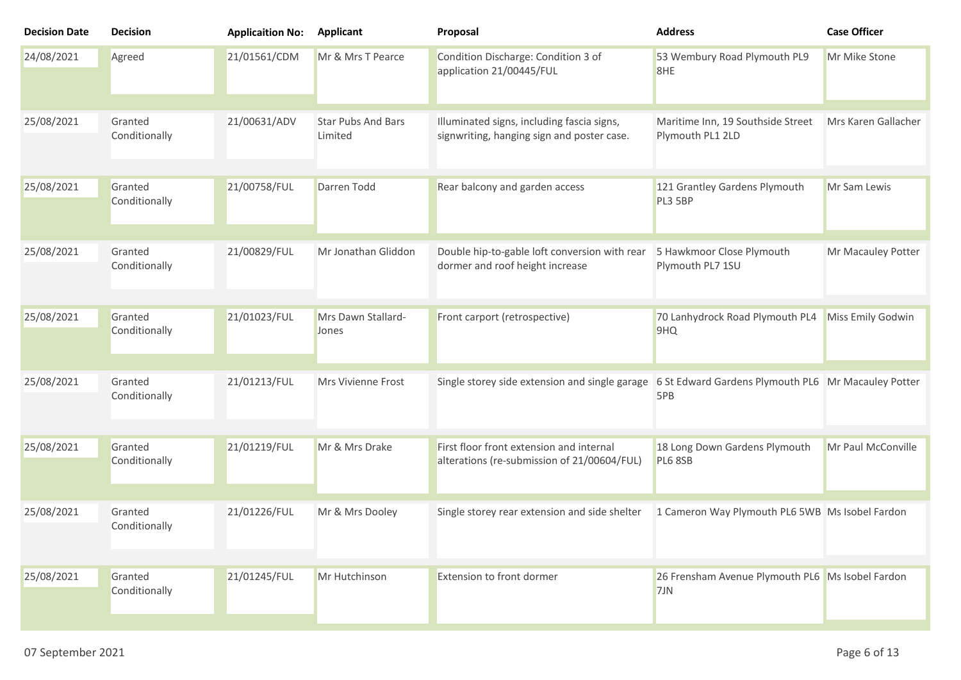| <b>Decision Date</b> | <b>Decision</b>          | <b>Applicaition No:</b> | <b>Applicant</b>                     | Proposal                                                                                 | <b>Address</b>                                             | <b>Case Officer</b> |
|----------------------|--------------------------|-------------------------|--------------------------------------|------------------------------------------------------------------------------------------|------------------------------------------------------------|---------------------|
| 24/08/2021           | Agreed                   | 21/01561/CDM            | Mr & Mrs T Pearce                    | Condition Discharge: Condition 3 of<br>application 21/00445/FUL                          | 53 Wembury Road Plymouth PL9<br>8HE                        | Mr Mike Stone       |
| 25/08/2021           | Granted<br>Conditionally | 21/00631/ADV            | <b>Star Pubs And Bars</b><br>Limited | Illuminated signs, including fascia signs,<br>signwriting, hanging sign and poster case. | Maritime Inn, 19 Southside Street<br>Plymouth PL1 2LD      | Mrs Karen Gallacher |
| 25/08/2021           | Granted<br>Conditionally | 21/00758/FUL            | Darren Todd                          | Rear balcony and garden access                                                           | 121 Grantley Gardens Plymouth<br>PL3 5BP                   | Mr Sam Lewis        |
| 25/08/2021           | Granted<br>Conditionally | 21/00829/FUL            | Mr Jonathan Gliddon                  | Double hip-to-gable loft conversion with rear<br>dormer and roof height increase         | 5 Hawkmoor Close Plymouth<br>Plymouth PL7 1SU              | Mr Macauley Potter  |
| 25/08/2021           | Granted<br>Conditionally | 21/01023/FUL            | Mrs Dawn Stallard-<br>Jones          | Front carport (retrospective)                                                            | 70 Lanhydrock Road Plymouth PL4<br>9HQ                     | Miss Emily Godwin   |
| 25/08/2021           | Granted<br>Conditionally | 21/01213/FUL            | Mrs Vivienne Frost                   | Single storey side extension and single garage                                           | 6 St Edward Gardens Plymouth PL6 Mr Macauley Potter<br>5PB |                     |
| 25/08/2021           | Granted<br>Conditionally | 21/01219/FUL            | Mr & Mrs Drake                       | First floor front extension and internal<br>alterations (re-submission of 21/00604/FUL)  | 18 Long Down Gardens Plymouth<br>PL6 8SB                   | Mr Paul McConville  |
| 25/08/2021           | Granted<br>Conditionally | 21/01226/FUL            | Mr & Mrs Dooley                      | Single storey rear extension and side shelter                                            | 1 Cameron Way Plymouth PL6 5WB Ms Isobel Fardon            |                     |
| 25/08/2021           | Granted<br>Conditionally | 21/01245/FUL            | Mr Hutchinson                        | Extension to front dormer                                                                | 26 Frensham Avenue Plymouth PL6 Ms Isobel Fardon<br>7JN    |                     |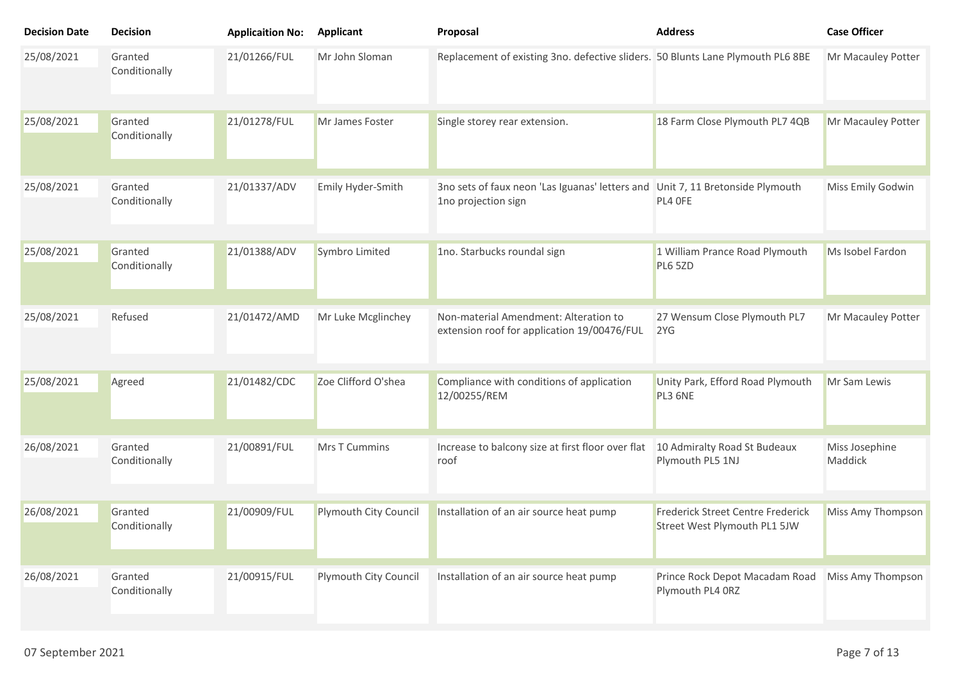| <b>Decision Date</b> | <b>Decision</b>          | <b>Applicaition No:</b> | <b>Applicant</b>      | Proposal                                                                                              | <b>Address</b>                                                    | <b>Case Officer</b>       |
|----------------------|--------------------------|-------------------------|-----------------------|-------------------------------------------------------------------------------------------------------|-------------------------------------------------------------------|---------------------------|
| 25/08/2021           | Granted<br>Conditionally | 21/01266/FUL            | Mr John Sloman        | Replacement of existing 3no. defective sliders. 50 Blunts Lane Plymouth PL6 8BE                       |                                                                   | Mr Macauley Potter        |
| 25/08/2021           | Granted<br>Conditionally | 21/01278/FUL            | Mr James Foster       | Single storey rear extension.                                                                         | 18 Farm Close Plymouth PL7 4QB                                    | Mr Macauley Potter        |
| 25/08/2021           | Granted<br>Conditionally | 21/01337/ADV            | Emily Hyder-Smith     | 3no sets of faux neon 'Las Iguanas' letters and Unit 7, 11 Bretonside Plymouth<br>1no projection sign | PL4 OFE                                                           | Miss Emily Godwin         |
| 25/08/2021           | Granted<br>Conditionally | 21/01388/ADV            | Symbro Limited        | 1no. Starbucks roundal sign                                                                           | 1 William Prance Road Plymouth<br>PL6 5ZD                         | Ms Isobel Fardon          |
| 25/08/2021           | Refused                  | 21/01472/AMD            | Mr Luke Mcglinchey    | Non-material Amendment: Alteration to<br>extension roof for application 19/00476/FUL                  | 27 Wensum Close Plymouth PL7<br>2YG                               | Mr Macauley Potter        |
| 25/08/2021           | Agreed                   | 21/01482/CDC            | Zoe Clifford O'shea   | Compliance with conditions of application<br>12/00255/REM                                             | Unity Park, Efford Road Plymouth<br>PL3 6NE                       | Mr Sam Lewis              |
| 26/08/2021           | Granted<br>Conditionally | 21/00891/FUL            | <b>Mrs T Cummins</b>  | Increase to balcony size at first floor over flat<br>roof                                             | 10 Admiralty Road St Budeaux<br>Plymouth PL5 1NJ                  | Miss Josephine<br>Maddick |
| 26/08/2021           | Granted<br>Conditionally | 21/00909/FUL            | Plymouth City Council | Installation of an air source heat pump                                                               | Frederick Street Centre Frederick<br>Street West Plymouth PL1 5JW | Miss Amy Thompson         |
| 26/08/2021           | Granted<br>Conditionally | 21/00915/FUL            | Plymouth City Council | Installation of an air source heat pump                                                               | Prince Rock Depot Macadam Road<br>Plymouth PL4 ORZ                | Miss Amy Thompson         |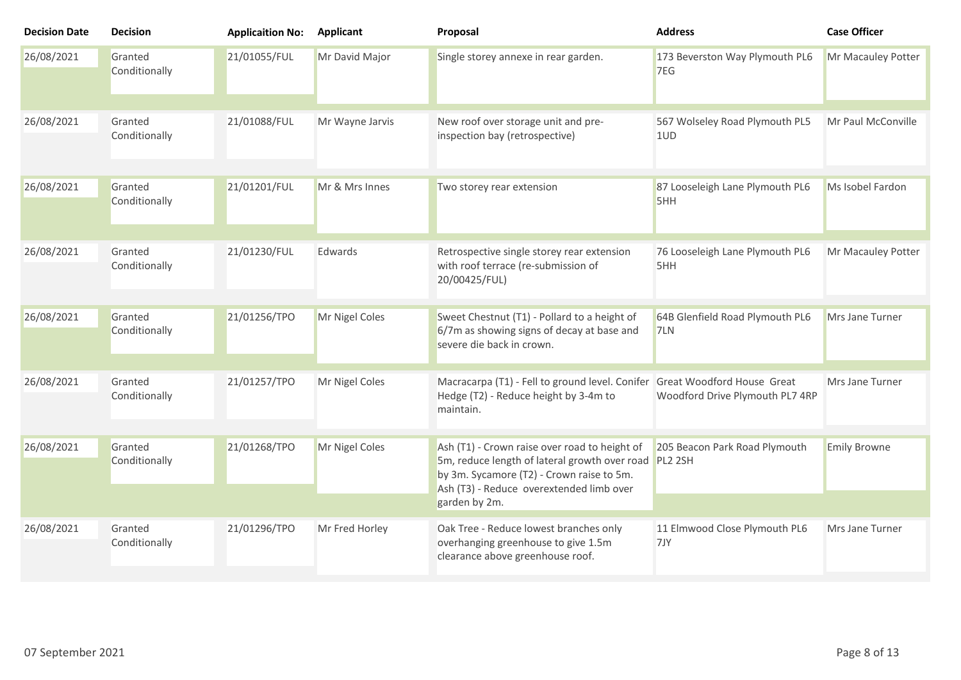| <b>Decision Date</b> | <b>Decision</b>          | <b>Applicaition No:</b> | <b>Applicant</b> | Proposal                                                                                                                                                                                        | <b>Address</b>                         | <b>Case Officer</b> |
|----------------------|--------------------------|-------------------------|------------------|-------------------------------------------------------------------------------------------------------------------------------------------------------------------------------------------------|----------------------------------------|---------------------|
| 26/08/2021           | Granted<br>Conditionally | 21/01055/FUL            | Mr David Major   | Single storey annexe in rear garden.                                                                                                                                                            | 173 Beverston Way Plymouth PL6<br>7EG  | Mr Macauley Potter  |
| 26/08/2021           | Granted<br>Conditionally | 21/01088/FUL            | Mr Wayne Jarvis  | New roof over storage unit and pre-<br>inspection bay (retrospective)                                                                                                                           | 567 Wolseley Road Plymouth PL5<br>1UD  | Mr Paul McConville  |
| 26/08/2021           | Granted<br>Conditionally | 21/01201/FUL            | Mr & Mrs Innes   | Two storey rear extension                                                                                                                                                                       | 87 Looseleigh Lane Plymouth PL6<br>5HH | Ms Isobel Fardon    |
| 26/08/2021           | Granted<br>Conditionally | 21/01230/FUL            | Edwards          | Retrospective single storey rear extension<br>with roof terrace (re-submission of<br>20/00425/FUL)                                                                                              | 76 Looseleigh Lane Plymouth PL6<br>5HH | Mr Macauley Potter  |
| 26/08/2021           | Granted<br>Conditionally | 21/01256/TPO            | Mr Nigel Coles   | Sweet Chestnut (T1) - Pollard to a height of<br>6/7m as showing signs of decay at base and<br>severe die back in crown.                                                                         | 64B Glenfield Road Plymouth PL6<br>7LN | Mrs Jane Turner     |
| 26/08/2021           | Granted<br>Conditionally | 21/01257/TPO            | Mr Nigel Coles   | Macracarpa (T1) - Fell to ground level. Conifer Great Woodford House Great<br>Hedge (T2) - Reduce height by 3-4m to<br>maintain.                                                                | Woodford Drive Plymouth PL7 4RP        | Mrs Jane Turner     |
| 26/08/2021           | Granted<br>Conditionally | 21/01268/TPO            | Mr Nigel Coles   | Ash (T1) - Crown raise over road to height of<br>5m, reduce length of lateral growth over road PL2 2SH<br>by 3m. Sycamore (T2) - Crown raise to 5m.<br>Ash (T3) - Reduce overextended limb over | 205 Beacon Park Road Plymouth          | <b>Emily Browne</b> |
|                      |                          |                         |                  | garden by 2m.                                                                                                                                                                                   |                                        |                     |
| 26/08/2021           | Granted<br>Conditionally | 21/01296/TPO            | Mr Fred Horley   | Oak Tree - Reduce lowest branches only<br>overhanging greenhouse to give 1.5m<br>clearance above greenhouse roof.                                                                               | 11 Elmwood Close Plymouth PL6<br>7JY   | Mrs Jane Turner     |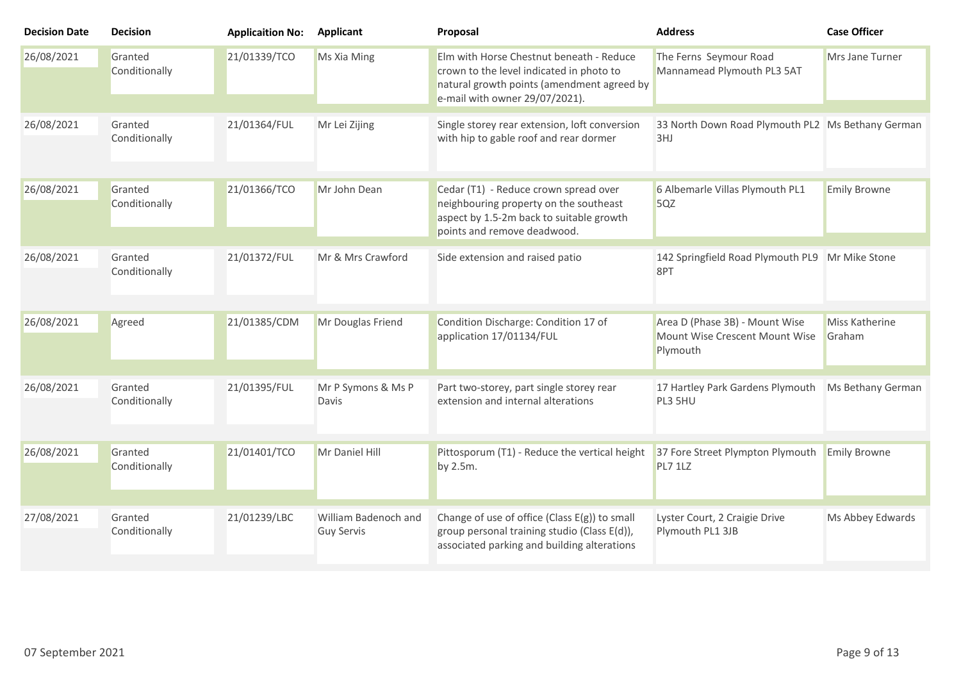| <b>Decision Date</b> | <b>Decision</b>          | <b>Applicaition No:</b> | <b>Applicant</b>                          | Proposal                                                                                                                                                             | <b>Address</b>                                                               | <b>Case Officer</b>      |
|----------------------|--------------------------|-------------------------|-------------------------------------------|----------------------------------------------------------------------------------------------------------------------------------------------------------------------|------------------------------------------------------------------------------|--------------------------|
| 26/08/2021           | Granted<br>Conditionally | 21/01339/TCO            | Ms Xia Ming                               | Elm with Horse Chestnut beneath - Reduce<br>crown to the level indicated in photo to<br>natural growth points (amendment agreed by<br>e-mail with owner 29/07/2021). | The Ferns Seymour Road<br>Mannamead Plymouth PL3 5AT                         | Mrs Jane Turner          |
| 26/08/2021           | Granted<br>Conditionally | 21/01364/FUL            | Mr Lei Zijing                             | Single storey rear extension, loft conversion<br>with hip to gable roof and rear dormer                                                                              | 33 North Down Road Plymouth PL2 Ms Bethany German<br>3HJ                     |                          |
| 26/08/2021           | Granted<br>Conditionally | 21/01366/TCO            | Mr John Dean                              | Cedar (T1) - Reduce crown spread over<br>neighbouring property on the southeast<br>aspect by 1.5-2m back to suitable growth<br>points and remove deadwood.           | 6 Albemarle Villas Plymouth PL1<br>5QZ                                       | <b>Emily Browne</b>      |
| 26/08/2021           | Granted<br>Conditionally | 21/01372/FUL            | Mr & Mrs Crawford                         | Side extension and raised patio                                                                                                                                      | 142 Springfield Road Plymouth PL9 Mr Mike Stone<br>8PT                       |                          |
| 26/08/2021           | Agreed                   | 21/01385/CDM            | Mr Douglas Friend                         | Condition Discharge: Condition 17 of<br>application 17/01134/FUL                                                                                                     | Area D (Phase 3B) - Mount Wise<br>Mount Wise Crescent Mount Wise<br>Plymouth | Miss Katherine<br>Graham |
| 26/08/2021           | Granted<br>Conditionally | 21/01395/FUL            | Mr P Symons & Ms P<br>Davis               | Part two-storey, part single storey rear<br>extension and internal alterations                                                                                       | 17 Hartley Park Gardens Plymouth<br>PL3 5HU                                  | Ms Bethany German        |
| 26/08/2021           | Granted<br>Conditionally | 21/01401/TCO            | Mr Daniel Hill                            | Pittosporum (T1) - Reduce the vertical height<br>by 2.5m.                                                                                                            | 37 Fore Street Plympton Plymouth<br>PL7 1LZ                                  | <b>Emily Browne</b>      |
| 27/08/2021           | Granted<br>Conditionally | 21/01239/LBC            | William Badenoch and<br><b>Guy Servis</b> | Change of use of office (Class $E(g)$ ) to small<br>group personal training studio (Class E(d)),<br>associated parking and building alterations                      | Lyster Court, 2 Craigie Drive<br>Plymouth PL1 3JB                            | Ms Abbey Edwards         |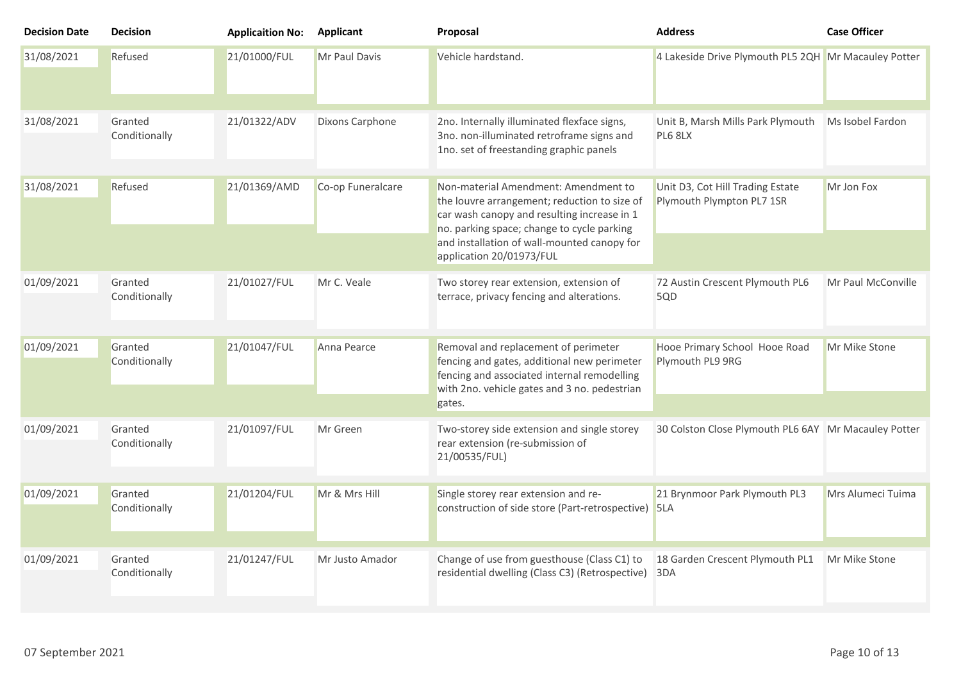| <b>Decision Date</b> | <b>Decision</b>          | <b>Applicaition No:</b> | <b>Applicant</b>  | Proposal                                                                                                                                                                                                                                                     | <b>Address</b>                                                | <b>Case Officer</b> |
|----------------------|--------------------------|-------------------------|-------------------|--------------------------------------------------------------------------------------------------------------------------------------------------------------------------------------------------------------------------------------------------------------|---------------------------------------------------------------|---------------------|
| 31/08/2021           | Refused                  | 21/01000/FUL            | Mr Paul Davis     | Vehicle hardstand.                                                                                                                                                                                                                                           | 4 Lakeside Drive Plymouth PL5 2QH Mr Macauley Potter          |                     |
| 31/08/2021           | Granted<br>Conditionally | 21/01322/ADV            | Dixons Carphone   | 2no. Internally illuminated flexface signs,<br>3no. non-illuminated retroframe signs and<br>1no. set of freestanding graphic panels                                                                                                                          | Unit B, Marsh Mills Park Plymouth<br>PL6 8LX                  | Ms Isobel Fardon    |
| 31/08/2021           | Refused                  | 21/01369/AMD            | Co-op Funeralcare | Non-material Amendment: Amendment to<br>the louvre arrangement; reduction to size of<br>car wash canopy and resulting increase in 1<br>no. parking space; change to cycle parking<br>and installation of wall-mounted canopy for<br>application 20/01973/FUL | Unit D3, Cot Hill Trading Estate<br>Plymouth Plympton PL7 1SR | Mr Jon Fox          |
| 01/09/2021           | Granted<br>Conditionally | 21/01027/FUL            | Mr C. Veale       | Two storey rear extension, extension of<br>terrace, privacy fencing and alterations.                                                                                                                                                                         | 72 Austin Crescent Plymouth PL6<br>5QD                        | Mr Paul McConville  |
| 01/09/2021           | Granted<br>Conditionally | 21/01047/FUL            | Anna Pearce       | Removal and replacement of perimeter<br>fencing and gates, additional new perimeter<br>fencing and associated internal remodelling<br>with 2no. vehicle gates and 3 no. pedestrian<br>gates.                                                                 | Hooe Primary School Hooe Road<br>Plymouth PL9 9RG             | Mr Mike Stone       |
| 01/09/2021           | Granted<br>Conditionally | 21/01097/FUL            | Mr Green          | Two-storey side extension and single storey<br>rear extension (re-submission of<br>21/00535/FUL)                                                                                                                                                             | 30 Colston Close Plymouth PL6 6AY Mr Macauley Potter          |                     |
| 01/09/2021           | Granted<br>Conditionally | 21/01204/FUL            | Mr & Mrs Hill     | Single storey rear extension and re-<br>construction of side store (Part-retrospective) 5LA                                                                                                                                                                  | 21 Brynmoor Park Plymouth PL3                                 | Mrs Alumeci Tuima   |
| 01/09/2021           | Granted<br>Conditionally | 21/01247/FUL            | Mr Justo Amador   | Change of use from guesthouse (Class C1) to<br>residential dwelling (Class C3) (Retrospective)                                                                                                                                                               | 18 Garden Crescent Plymouth PL1<br>3DA                        | Mr Mike Stone       |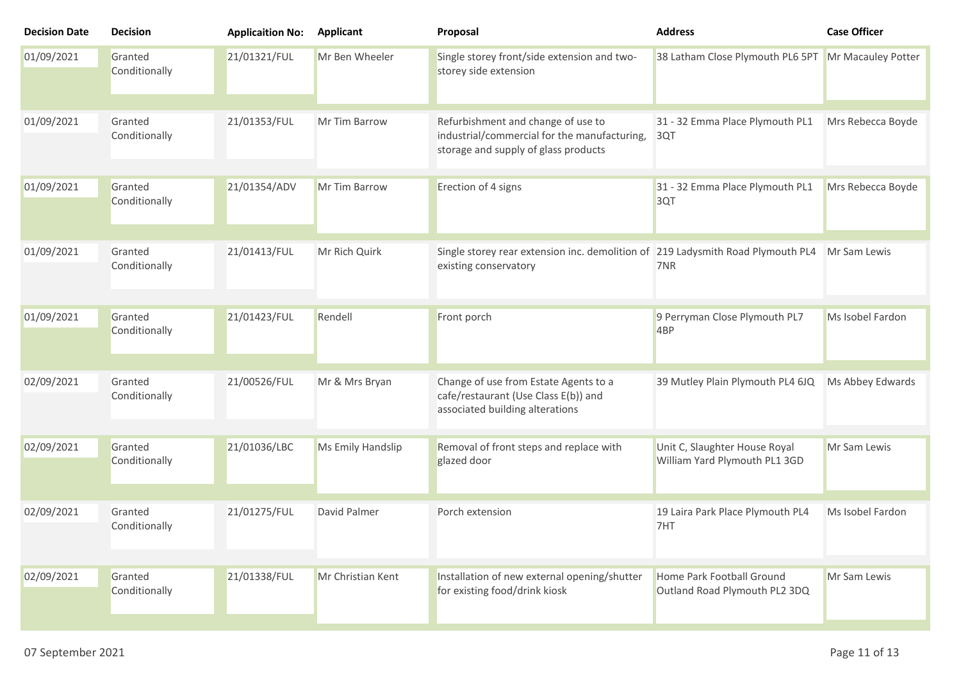| <b>Decision Date</b> | <b>Decision</b>          | <b>Applicaition No:</b> | <b>Applicant</b>     | Proposal                                                                                                                   | <b>Address</b>                                                 | <b>Case Officer</b> |
|----------------------|--------------------------|-------------------------|----------------------|----------------------------------------------------------------------------------------------------------------------------|----------------------------------------------------------------|---------------------|
| 01/09/2021           | Granted<br>Conditionally | 21/01321/FUL            | Mr Ben Wheeler       | Single storey front/side extension and two-<br>storey side extension                                                       | 38 Latham Close Plymouth PL6 5PT                               | Mr Macauley Potter  |
| 01/09/2021           | Granted<br>Conditionally | 21/01353/FUL            | Mr Tim Barrow        | Refurbishment and change of use to<br>industrial/commercial for the manufacturing,<br>storage and supply of glass products | 31 - 32 Emma Place Plymouth PL1<br>3QT                         | Mrs Rebecca Boyde   |
| 01/09/2021           | Granted<br>Conditionally | 21/01354/ADV            | <b>Mr Tim Barrow</b> | Erection of 4 signs                                                                                                        | 31 - 32 Emma Place Plymouth PL1<br>3QT                         | Mrs Rebecca Boyde   |
| 01/09/2021           | Granted<br>Conditionally | 21/01413/FUL            | Mr Rich Quirk        | Single storey rear extension inc. demolition of 219 Ladysmith Road Plymouth PL4<br>existing conservatory                   | 7NR                                                            | Mr Sam Lewis        |
| 01/09/2021           | Granted<br>Conditionally | 21/01423/FUL            | Rendell              | Front porch                                                                                                                | 9 Perryman Close Plymouth PL7<br>4 <sub>BP</sub>               | Ms Isobel Fardon    |
| 02/09/2021           | Granted<br>Conditionally | 21/00526/FUL            | Mr & Mrs Bryan       | Change of use from Estate Agents to a<br>cafe/restaurant (Use Class E(b)) and<br>associated building alterations           | 39 Mutley Plain Plymouth PL4 6JQ                               | Ms Abbey Edwards    |
| 02/09/2021           | Granted<br>Conditionally | 21/01036/LBC            | Ms Emily Handslip    | Removal of front steps and replace with<br>glazed door                                                                     | Unit C, Slaughter House Royal<br>William Yard Plymouth PL1 3GD | Mr Sam Lewis        |
| 02/09/2021           | Granted<br>Conditionally | 21/01275/FUL            | David Palmer         | Porch extension                                                                                                            | 19 Laira Park Place Plymouth PL4<br>7HT                        | Ms Isobel Fardon    |
| 02/09/2021           | Granted<br>Conditionally | 21/01338/FUL            | Mr Christian Kent    | Installation of new external opening/shutter<br>for existing food/drink kiosk                                              | Home Park Football Ground<br>Outland Road Plymouth PL2 3DQ     | Mr Sam Lewis        |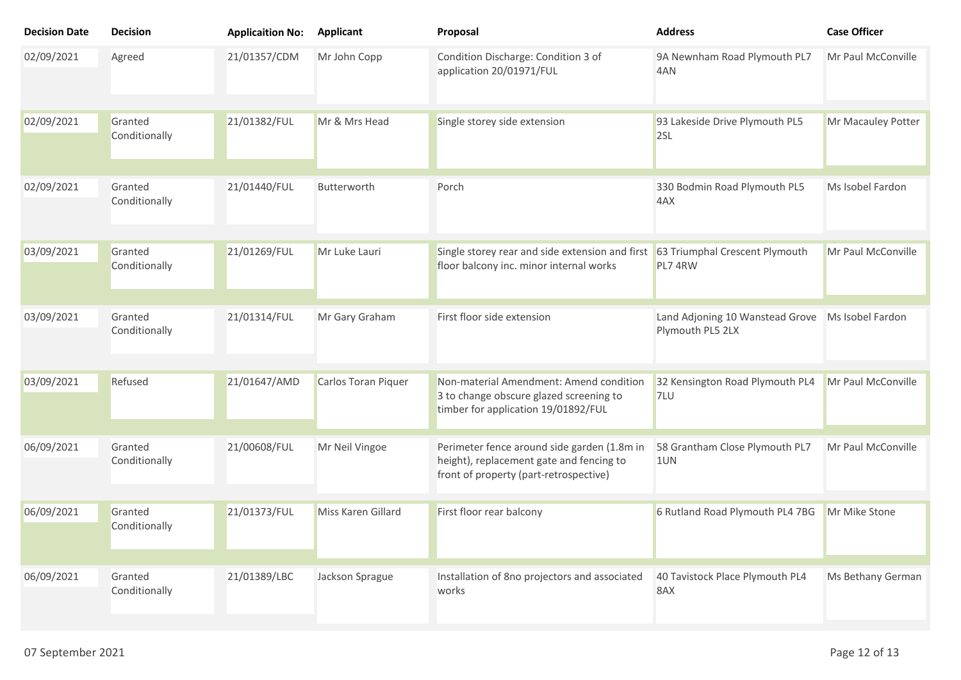| <b>Decision Date</b> | <b>Decision</b>          | <b>Applicaition No:</b> | <b>Applicant</b>          | Proposal                                                                                                                          | <b>Address</b>                                      | <b>Case Officer</b> |
|----------------------|--------------------------|-------------------------|---------------------------|-----------------------------------------------------------------------------------------------------------------------------------|-----------------------------------------------------|---------------------|
| 02/09/2021           | Agreed                   | 21/01357/CDM            | Mr John Copp              | Condition Discharge: Condition 3 of<br>application 20/01971/FUL                                                                   | 9A Newnham Road Plymouth PL7<br>4AN                 | Mr Paul McConville  |
| 02/09/2021           | Granted<br>Conditionally | 21/01382/FUL            | Mr & Mrs Head             | Single storey side extension                                                                                                      | 93 Lakeside Drive Plymouth PL5<br>2SL               | Mr Macauley Potter  |
| 02/09/2021           | Granted<br>Conditionally | 21/01440/FUL            | Butterworth               | Porch                                                                                                                             | 330 Bodmin Road Plymouth PL5<br>4AX                 | Ms Isobel Fardon    |
| 03/09/2021           | Granted<br>Conditionally | 21/01269/FUL            | Mr Luke Lauri             | Single storey rear and side extension and first<br>floor balcony inc. minor internal works                                        | 63 Triumphal Crescent Plymouth<br>PL7 4RW           | Mr Paul McConville  |
| 03/09/2021           | Granted<br>Conditionally | 21/01314/FUL            | Mr Gary Graham            | First floor side extension                                                                                                        | Land Adjoning 10 Wanstead Grove<br>Plymouth PL5 2LX | Ms Isobel Fardon    |
| 03/09/2021           | Refused                  | 21/01647/AMD            | Carlos Toran Piquer       | Non-material Amendment: Amend condition<br>3 to change obscure glazed screening to<br>timber for application 19/01892/FUL         | 32 Kensington Road Plymouth PL4<br>7LU              | Mr Paul McConville  |
| 06/09/2021           | Granted<br>Conditionally | 21/00608/FUL            | Mr Neil Vingoe            | Perimeter fence around side garden (1.8m in<br>height), replacement gate and fencing to<br>front of property (part-retrospective) | 58 Grantham Close Plymouth PL7<br>1UN               | Mr Paul McConville  |
| 06/09/2021           | Granted<br>Conditionally | 21/01373/FUL            | <b>Miss Karen Gillard</b> | First floor rear balcony                                                                                                          | 6 Rutland Road Plymouth PL4 7BG                     | Mr Mike Stone       |
| 06/09/2021           | Granted<br>Conditionally | 21/01389/LBC            | Jackson Sprague           | Installation of 8no projectors and associated<br>works                                                                            | 40 Tavistock Place Plymouth PL4<br>8AX              | Ms Bethany German   |